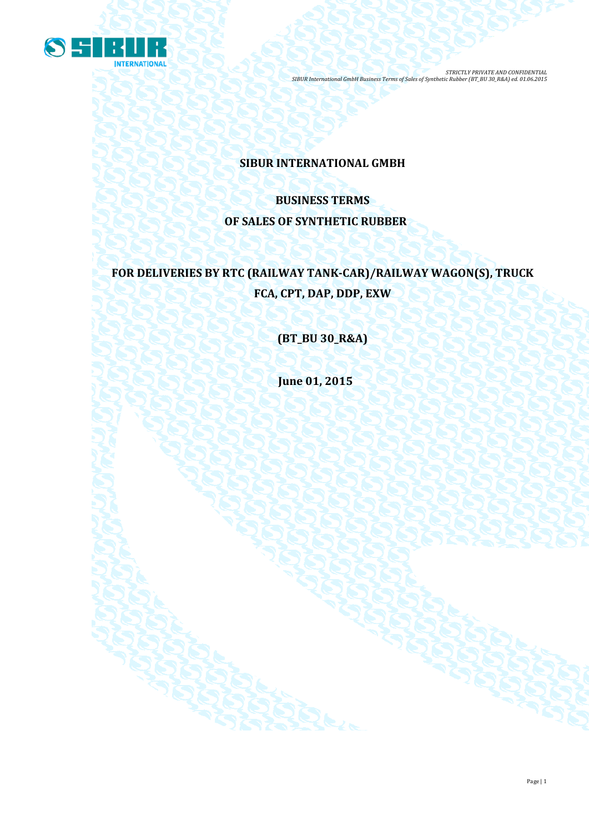

# **SIBUR INTERNATIONAL GMBH**

# **BUSINESS TERMS OF SALES OF SYNTHETIC RUBBER**

# **FOR DELIVERIES BY RTC (RAILWAY TANK-CAR)/RAILWAY WAGON(S), TRUCK FCA, CPT, DAP, DDP, EXW**

**(BT\_BU 30\_R&A)**

**June 01, 2015**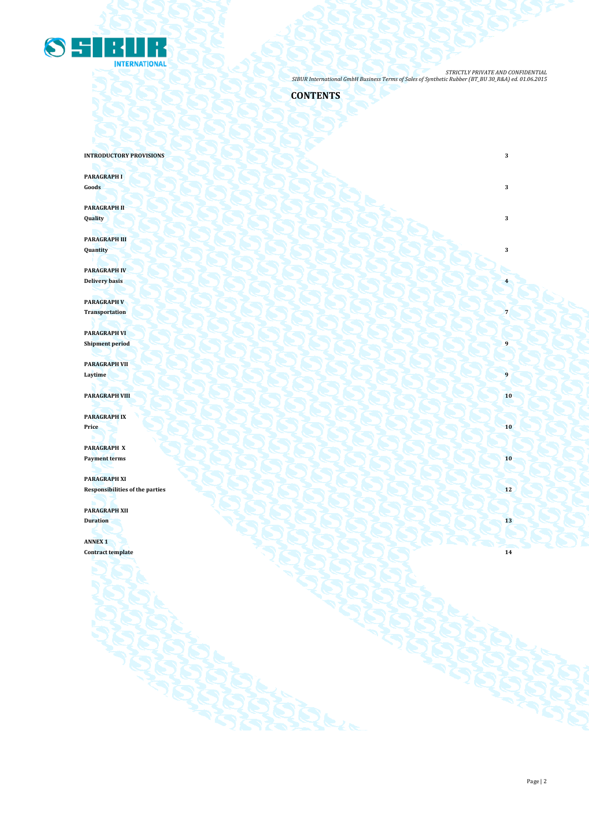

# **CONTENTS**

**INTRODUCTORY PROVISIONS** 3

**PARAGRAPH I Goods 3 3** 

**PARAGRAPH II Quality 3**

**PARAGRAPH III Quantity 3**

**PARAGRAPH IV Delivery basis 4**

**PARAGRAPH V Transportation 7**

**PARAGRAPH VI Shipment period** 

**PARAGRAPH VII Laytime 9 1 Contract in the second of the second of the second of the second of the second of the second of the second of the second of the second of the second of the second of the second of the second of the secon** 

**PARAGRAPH VIII 10** 

**PARAGRAPH IX Price 10**

**PARAGRAPH X Payment terms 10** 

**PARAGRAPH XI** Responsibilities of the parties **12** 

**PARAGRAPH XII**

**Duration 13**

**ANNEX 1 Contract template 14**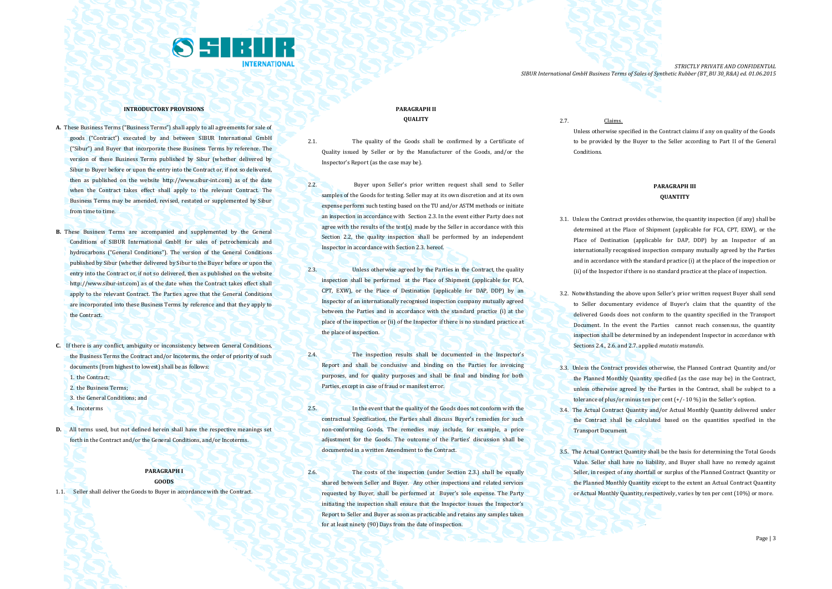

#### **INTRODUCTORY PROVISIONS**

- **A.** These Business Terms ("Business Terms") shall apply to all agreements for sale of goods ("Contract") executed by and between SIBUR International GmbH ("Sibur") and Buyer that incorporate these Business Terms by reference. The version of these Business Terms published by Sibur (whether delivered by Sibur to Buyer before or upon the entry into the Contract or, if not so delivered then as published on the website [http://www.sibur-int.com\)](http://www.sibur-int.com/) as of the date when the Contract takes effect shall apply to the relevant Contract. The Business Terms may be amended, revised, restated or supplemented by Sibur from time to time.
- **B.** These Business Terms are accompanied and supplemented by the General Conditions of SIBUR International GmbH for sales of petrochemicals and hydrocarbons ("General Conditions"). The version of the General Conditions published by Sibur (whether delivered by Sibur to the Buyer before or upon the entry into the Contract or, if not so delivered, then as published on the website [http://www.sibur-int.com\)](http://www.sibur-int.com/) as of the date when the Contract takes effect shall apply to the relevant Contract. The Parties agree that the General Conditions are incorporated into these Business Terms by reference and that they apply to the Contract.
- **C.** If there is any conflict, ambiguity or inconsistency between General Conditions, the Business Terms the Contract and/or Incoterms, the order of priority of such documents (from highest to lowest) shall be as follows:
	- 1. the Contract:
	- 2. the Business Terms;
	- 3. the General Conditions; and
	- 4. Incoterms
- **D.** All terms used, but not defined herein shall have the respective meanings set forth in the Contract and/or the General Conditions, and/or Incoterms.

#### **PARAGRAPH I GOODS**

1.1. Seller shall deliver the Goods to Buyer in accordance with the Contract.

## **PARAGRAPH II QUALITY**

- 2.1. The quality of the Goods shall be confirmed by a Certificate of Quality issued by Seller or by the Manufacturer of the Goods, and/or the Inspector's Report (as the case may be).
- 2.2. Buyer upon Seller's prior written request shall send to Seller samples of the Goods for testing. Seller may at its own discretion and at its own expense perform such testing based on the TU and/or ASTM methods or initiate an inspection in accordance with Section 2.3. In the event either Party does not agree with the results of the test(s) made by the Seller in accordance with this Section 2.2, the quality inspection shall be performed by an independent Inspector in accordance with Section 2.3. hereof.
- 2.3. Unless otherwise agreed by the Parties in the Contract, the quality inspection shall be performed at the Place of Shipment (applicable for FCA, CPT, EXW), or the Place of Destination (applicable for DAP, DDP) by an Inspector of an internationally recognised inspection company mutually agreed between the Parties and in accordance with the standard practice (i) at the place of the inspection or (ii) of the Inspector if there is no standard practice at the place of inspection.
- 2.4. The inspection results shall be documented in the Inspector's Report and shall be conclusive and binding on the Parties for invoicing purposes, and for quality purposes and shall be final and binding for both Parties, except in case of fraud or manifest error.
- 2.5. In the event that the quality of the Goods does not conform with the contractual Specification, the Parties shall discuss Buyer's remedies for such non-conforming Goods. The remedies may include, for example, a price adjustment for the Goods. The outcome of the Parties' discussion shall be documented in a written Amendment to the Contract.
- 2.6. The costs of the inspection (under Section 2.3.) shall be equally shared between Seller and Buyer. Any other inspections and related services requested by Buyer, shall be performed at Buyer's sole expense. The Party initiating the inspection shall ensure that the Inspector issues the Inspector's Report to Seller and Buyer as soon as practicable and retains any samples taken for at least ninety (90) Days from the date of inspection.

2.7. Claims.

Unless otherwise specified in the Contract claims if any on quality of the Goods to be provided by the Buyer to the Seller according to Part II of the General Conditions.

# **PARAGRAPH III QUANTITY**

- 3.1. Unless the Contract provides otherwise, the quantity inspection (if any) shall be determined at the Place of Shipment (applicable for FCA, CPT, EXW), or the Place of Destination (applicable for DAP, DDP) by an Inspector of an internationally recognised inspection company mutually agreed by the Parties and in accordance with the standard practice (i) at the place of the inspection or (ii) of the Inspector if there is no standard practice at the place of inspection.
- 3.2. Notwithstanding the above upon Seller's prior written request Buyer shall send to Seller documentary evidence of Buyer's claim that the quantity of the delivered Goods does not conform to the quantity specified in the Transport Document. In the event the Parties cannot reach consensus, the quantity inspection shall be determined by an independent Inspector in accordance with Sections 2.4., 2.6. and 2.7. applied *mutatis mutandis*.
- 3.3. Unless the Contract provides otherwise, the Planned Contract Quantity and/or the Planned Monthly Quantity specified (as the case may be) in the Contract, unless otherwise agreed by the Parties in the Contract, shall be subject to a tolerance of plus/or minus ten per cent (+/- 10 %) in the Seller's option.
- 3.4. The Actual Contract Quantity and/or Actual Monthly Quantity delivered under the Contract shall be calculated based on the quantities specified in the Transport Document.
- 3.5. The Actual Contract Quantity shall be the basis for determining the Total Goods Value. Seller shall have no liability, and Buyer shall have no remedy against Seller, in respect of any shortfall or surplus of the Planned Contract Quantity or the Planned Monthly Quantity except to the extent an Actual Contract Quantity or Actual Monthly Quantity, respectively, varies by ten per cent (10%) or more.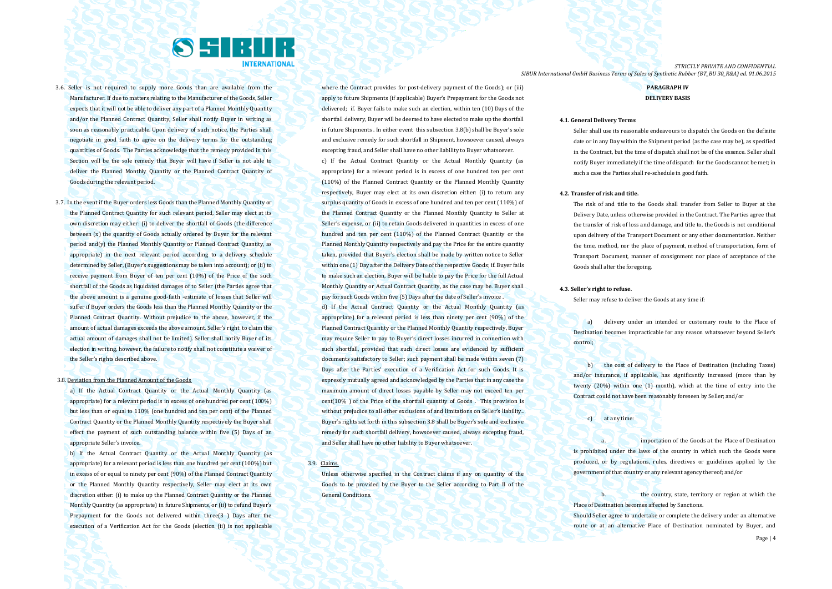

- 3.6. Seller is not required to supply more Goods than are available from the Manufacturer. If due to matters relating to the Manufacturer of the Goods, Seller expects that it will not be able to deliver any part of a Planned Monthly Quantity and/or the Planned Contract Quantity, Seller shall notify Buyer in writing as soon as reasonably practicable. Upon delivery of such notice, the Parties shall negotiate in good faith to agree on the delivery terms for the outstanding quantities of Goods. The Parties acknowledge that the remedy provided in this Section will be the sole remedy that Buyer will have if Seller is not able to deliver the Planned Monthly Quantity or the Planned Contract Quantity of Goods during the relevant period.
- 3.7. In the event if the Buyer orders less Goods than the Planned Monthly Quantity or the Planned Contract Quantity for such relevant period, Seller may elect at its own discretion may either: (i) to deliver the shortfall of Goods (the difference between (x) the quantity of Goods actually ordered by Buyer for the relevant period and(y) the Planned Monthly Quantity or Planned Contract Quantity, as appropriate) in the next relevant period according to a delivery schedule determined by Seller, (Buyer's suggestions may be taken into account); or (ii) to receive payment from Buyer of ten per cent (10%) of the Price of the such shortfall of the Goods as liquidated damages of to Seller (the Parties agree that the above amount is a genuine good-faith -estimate of losses that Seller will suffer if Buyer orders the Goods less than the Planned Monthly Quantity or the Planned Contract Quantity. Without prejudice to the above, however, if the amount of actual damages exceeds the above amount, Seller's right to claim the actual amount of damages shall not be limited). Seller shall notify Buyer of its election in writing, however, the failure to notify shall not constitute a waiver of the Seller's rights described above.

#### 3.8. Deviation from the Planned Amount of the Goods

a) If the Actual Contract Quantity or the Actual Monthly Quantity (as appropriate) for a relevant period is in excess of one hundred per cent (100%) but less than or equal to 110% (one hundred and ten per cent) of the Planned Contract Quantity or the Planned Monthly Quantity respectively the Buyer shall effect the payment of such outstanding balance within five (5) Days of an appropriate Seller's invoice.

b) If the Actual Contract Quantity or the Actual Monthly Quantity (as appropriate) for a relevant period is less than one hundred per cent (100%) but in excess of or equal to ninety per cent (90%) of the Planned Contract Quantity or the Planned Monthly Quantity respectively, Seller may elect at its own discretion either: (i) to make up the Planned Contract Quantity or the Planned Monthly Quantity (as appropriate) in future Shipments, or (ii) to refund Buyer's Prepayment for the Goods not delivered within three(3 ) Days after the execution of a Verification Act for the Goods (election (ii) is not applicable

where the Contract provides for post-delivery payment of the Goods); or (iii) apply to future Shipments (if applicable) Buyer's Prepayment for the Goods not delivered; if. Buyer fails to make such an election, within ten (10) Days of the shortfall delivery, Buyer will be deemed to have elected to make up the shortfall in future Shipments . In either event this subsection 3.8(b) shall be Buyer's sole and exclusive remedy for such shortfall in Shipment, howsoever caused, always excepting fraud, and Seller shall have no other liability to Buyer whatsoever. c) If the Actual Contract Quantity or the Actual Monthly Quantity (as appropriate) for a relevant period is in excess of one hundred ten per cent (110%) of the Planned Contract Quantity or the Planned Monthly Quantity respectively, Buyer may elect at its own discretion either: (i) to return any surplus quantity of Goods in excess of one hundred and ten per cent (110%) of the Planned Contract Quantity or the Planned Monthly Quantity to Seller at Seller's expense, or (ii) to retain Goods delivered in quantities in excess of one hundred and ten per cent (110%) of the Planned Contract Quantity or the Planned Monthly Quantity respectively and pay the Price for the entire quantity taken, provided that Buyer's election shall be made by written notice to Seller within one (1) Day after the Delivery Date of the respective Goods; if. Buyer fails to make such an election, Buyer will be liable to pay the Price for the full Actual Monthly Quantity or Actual Contract Quantity, as the case may be. Buyer shall pay for such Goods within five (5) Days after the date of Seller's invoice

d) If the Actual Contract Quantity or the Actual Monthly Quantity (as appropriate) for a relevant period is less than ninety per cent (90%) of the Planned Contract Quantity or the Planned Monthly Quantity respectively, Buyer may require Seller to pay to Buyer's direct losses incurred in connection with such shortfall, provided that such direct losses are evidenced by sufficient documents satisfactory to Seller; such payment shall be made within seven (7) Days after the Parties' execution of a Verification Act for such Goods. It is expressly mutually agreed and acknowledged by the Parties that in any case the maximum amount of direct losses payable by Seller may not exceed ten per cent(10% ) of the Price of the shortfall quantity of Goods . This provision is without prejudice to all other exclusions of and limitations on Seller's liability.. Buyer's rights set forth in this subsection 3.8 shall be Buyer's sole and exclusive remedy for such shortfall delivery, howsoever caused, always excepting fraud, and Seller shall have no other liability to Buyer whatsoever.

## 3.9. Claims.

Unless otherwise specified in the Contract claims if any on quantity of the Goods to be provided by the Buyer to the Seller according to Part II of the General Conditions.

*STRICTLY PRIVATE AND CONFIDENTIAL SIBUR International GmbH Business Terms of Sales of Synthetic Rubber (BT\_BU 30\_R&A) ed. 01.06.2015*

# **PARAGRAPH IV DELIVERY BASIS**

#### **4.1. General Delivery Terms**

Seller shall use its reasonable endeavours to dispatch the Goods on the definite date or in any Day within the Shipment period (as the case may be), as specified in the Contract, but the time of dispatch shall not be of the essence. Seller shall notify Buyer immediately if the time of dispatch for the Goods cannot be met; in such a case the Parties shall re-schedule in good faith.

#### **4.2. Transfer of risk and title.**

The risk of and title to the Goods shall transfer from Seller to Buyer at the Delivery Date, unless otherwise provided in the Contract. The Parties agree that the transfer of risk of loss and damage, and title to, the Goods is not conditional upon delivery of the Transport Document or any other documentation. Neither the time, method, nor the place of payment, method of transportation, form of Transport Document, manner of consignment nor place of acceptance of the Goods shall alter the foregoing.

#### **4.3. Seller's right to refuse.**

Seller may refuse to deliver the Goods at any time if:

a) delivery under an intended or customary route to the Place of Destination becomes impracticable for any reason whatsoever beyond Seller's control;

b) the cost of delivery to the Place of Destination (including Taxes) and/or insurance, if applicable, has significantly increased (more than by twenty (20%) within one (1) month), which at the time of entry into the Contract could not have been reasonably foreseen by Seller; and/or

#### c) at any time:

importation of the Goods at the Place of Destination is prohibited under the laws of the country in which such the Goods were produced, or by regulations, rules, directives or guidelines applied by the government of that country or any relevant agency thereof; and/or

b. the country, state, territory or region at which the Place of Destination becomes affected by Sanctions.

Should Seller agree to undertake or complete the delivery under an alternative route or at an alternative Place of Destination nominated by Buyer, and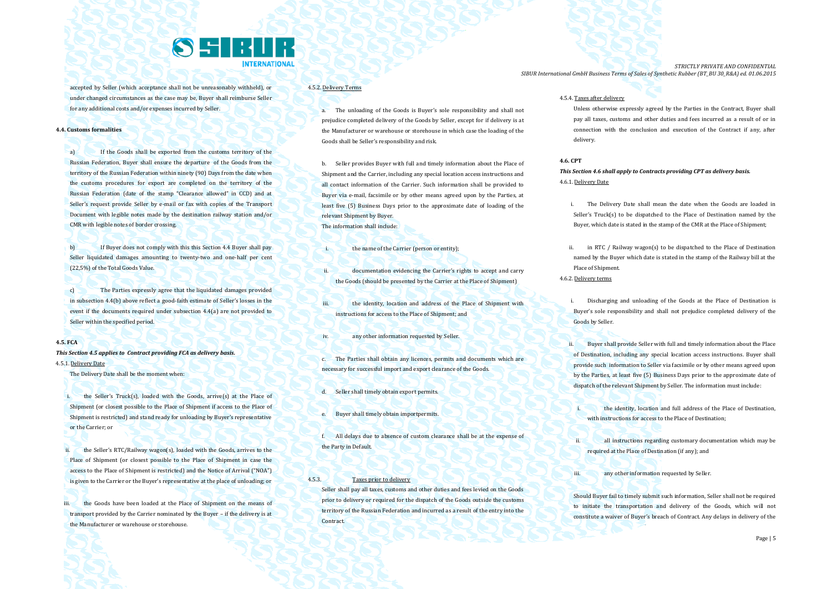

accepted by Seller (which acceptance shall not be unreasonably withheld), or under changed circumstances as the case may be, Buyer shall reimburse Seller for any additional costs and/or expenses incurred by Seller.

#### **4.4. Customs formalities**

a) If the Goods shall be exported from the customs territory of the Russian Federation, Buyer shall ensure the departure of the Goods from the territory of the Russian Federation within ninety (90) Days from the date when the customs procedures for export are completed on the territory of the Russian Federation (date of the stamp "Clearance allowed" in CCD) and at Seller's request provide Seller by e-mail or fax with copies of the Transport Document with legible notes made by the destination railway station and/or CMR with legible notes of border crossing.

b) If Buyer does not comply with this this Section 4.4 Buyer shall pay Seller liquidated damages amounting to twenty-two and one-half per cent (22,5%) of the Total Goods Value.

c) The Parties expressly agree that the liquidated damages provided in subsection 4.4(b) above reflect a good-faith estimate of Seller's losses in the event if the documents required under subsection 4.4(a) are not provided to Seller within the specified period.

# **4.5. FCA**

*This Section 4.5 applies to Contract providing FCA as delivery basis.* 4.5.1. Delivery Date

The Delivery Date shall be the moment when:

i. the Seller's Truck(s), loaded with the Goods, arrive(s) at the Place of Shipment (or closest possible to the Place of Shipment if access to the Place of Shipment is restricted) and stand ready for unloading by Buyer's representative or the Carrier; or

the Seller's RTC/Railway wagon(s), loaded with the Goods, arrives to the Place of Shipment (or closest possible to the Place of Shipment in case the access to the Place of Shipment is restricted) and the Notice of Arrival ("NOA") is given to the Carrier or the Buyer's representative at the place of unloading; or

iii. the Goods have been loaded at the Place of Shipment on the means of transport provided by the Carrier nominated by the Buyer – if the delivery is at the Manufacturer or warehouse or storehouse.

# 4.5.2. Delivery Terms

a. The unloading of the Goods is Buyer's sole responsibility and shall not prejudice completed delivery of the Goods by Seller, except for if delivery is at the Manufacturer or warehouse or storehouse in which case the loading of the Goods shall be Seller's responsibility and risk.

b. Seller provides Buyer with full and timely information about the Place of Shipment and the Carrier, including any special location access instructions and all contact information of the Carrier. Such information shall be provided to Buyer via e-mail, facsimile or by other means agreed upon by the Parties, at least five (5) Business Days prior to the approximate date of loading of the relevant Shipment by Buyer. The information shall include:

- i. the name of the Carrier (person or entity):
- ii. documentation evidencing the Carrier's rights to accept and carry the Goods (should be presented by the Carrier at the Place of Shipment)
- iii. **the identity, location and address of the Place of Shipment with** instructions for access to the Place of Shipment; and
- iv. any other information requested by Seller.
- c. The Parties shall obtain any licences, permits and documents which are necessary for successful import and export clearance of the Goods.
- d. Seller shall timely obtain export permits.
- e. Buyer shall timely obtain importpermits.
- f. All delays due to absence of custom clearance shall be at the expense of the Party in Default.

# 4.5.3. Taxes prior to delivery

Seller shall pay all taxes, customs and other duties and fees levied on the Goods prior to delivery or required for the dispatch of the Goods outside the customs territory of the Russian Federation and incurred as a result of the entry into the **Contract.** 

*STRICTLY PRIVATE AND CONFIDENTIAL SIBUR International GmbH Business Terms of Sales of Synthetic Rubber (BT\_BU 30\_R&A) ed. 01.06.2015*

### 4.5.4. Taxes after delivery

Unless otherwise expressly agreed by the Parties in the Contract, Buyer shall pay all taxes, customs and other duties and fees incurred as a result of or in connection with the conclusion and execution of the Contract if any, after delivery.

#### **4.6. CPT**

*This Section 4.6 shall apply to Contracts providing CPT as delivery basis.* 4.6.1. Delivery Date

- i. The Delivery Date shall mean the date when the Goods are loaded in Seller's Truck(s) to be dispatched to the Place of Destination named by the Buyer, which date is stated in the stamp of the CMR at the Place of Shipment;
- ii. in RTC / Railway wagon(s) to be dispatched to the Place of Destination named by the Buyer which date is stated in the stamp of the Railway bill at the Place of Shipment. 4.6.2. Delivery terms
	- i. Discharging and unloading of the Goods at the Place of Destination is Buyer's sole responsibility and shall not prejudice completed delivery of the Goods by Seller.
	- ii. Buyer shall provide Seller with full and timely information about the Place of Destination, including any special location access instructions. Buyer shall provide such information to Seller via facsimile or by other means agreed upon by the Parties, at least five (5) Business Days prior to the approximate date of dispatch of the relevant Shipment by Seller. The information must include:
		- the identity, location and full address of the Place of Destination. with instructions for access to the Place of Destination:
		- all instructions regarding customary documentation which may be required at the Place of Destination (if any); and
	- iii. **All any other information requested by Seller.**

Should Buyer fail to timely submit such information, Seller shall not be required to initiate the transportation and delivery of the Goods, which will not constitute a waiver of Buyer's breach of Contract. Any delays in delivery of the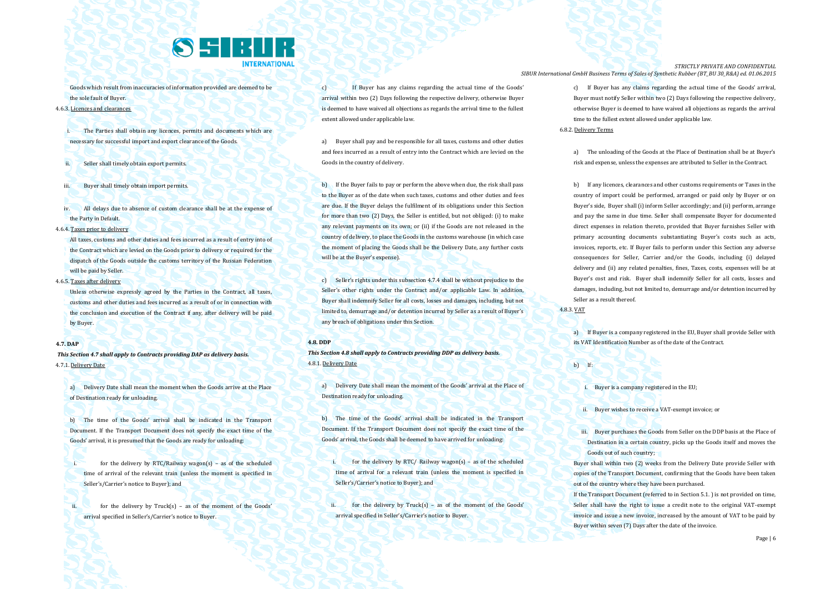

Goods which result from inaccuracies of information provided are deemed to be the sole fault of Buyer.

# 4.6.3. Licences and clearances

The Parties shall obtain any licences, permits and documents which are necessary for successful import and export clearance of the Goods.

- Seller shall timely obtain export permits.
- iii. Buyer shall timely obtain import permits.
- iv. All delays due to absence of custom clearance shall be at the expense of the Party in Default.
- 4.6.4. Taxes prior to delivery

All taxes, customs and other duties and fees incurred as a result of entry into of the Contract which are levied on the Goods prior to delivery or required for the dispatch of the Goods outside the customs territory of the Russian Federation will be paid by Seller.

4.6.5. Taxes after delivery

Unless otherwise expressly agreed by the Parties in the Contract, all taxes, customs and other duties and fees incurred as a result of or in connection with the conclusion and execution of the Contract if any, after delivery will be paid by Buyer.

### **4.7. DAP**

*This Section 4.7 shall apply to Contracts providing DAP as delivery basis.* 4.7.1. Delivery Date

a) Delivery Date shall mean the moment when the Goods arrive at the Place of Destination ready for unloading.

b) The time of the Goods' arrival shall be indicated in the Transport Document. If the Transport Document does not specify the exact time of the Goods' arrival, it is presumed that the Goods are ready for unloading:

i. for the delivery by RTC/Railway wagon(s) – as of the scheduled time of arrival of the relevant train (unless the moment is specified in Seller's/Carrier's notice to Buyer); and

ii. for the delivery by Truck(s) – as of the moment of the Goods' arrival specified in Seller's/Carrier's notice to Buyer.

c) If Buyer has any claims regarding the actual time of the Goods' arrival within two (2) Days following the respective delivery, otherwise Buyer is deemed to have waived all objections as regards the arrival time to the fullest extent allowed under applicable law.

a) Buyer shall pay and be responsible for all taxes, customs and other duties and fees incurred as a result of entry into the Contract which are levied on the Goods in the country of delivery.

b) If the Buyer fails to pay or perform the above when due, the risk shall pass to the Buyer as of the date when such taxes, customs and other duties and fees are due. If the Buyer delays the fulfilment of its obligations under this Section for more than two (2) Days, the Seller is entitled, but not obliged: (i) to make any relevant payments on its own; or (ii) if the Goods are not released in the country of delivery, to place the Goods in the customs warehouse (in which case the moment of placing the Goods shall be the Delivery Date, any further costs will be at the Buyer's expense).

c) Seller's rights under this subsection 4.7.4 shall be without prejudice to the Seller's other rights under the Contract and/or applicable Law. In addition, Buyer shall indemnify Seller for all costs, losses and damages, including, but not limited to, demurrage and/or detention incurred by Seller as a result of Buyer's any breach of obligations under this Section.

#### **4.8. DDP**

*This Section 4.8 shall apply to Contracts providing DDP as delivery basis.* 4.8.1. Delivery Date

a) Delivery Date shall mean the moment of the Goods' arrival at the Place of Destination ready for unloading.

b) The time of the Goods' arrival shall be indicated in the Transport Document. If the Transport Document does not specify the exact time of the Goods' arrival, the Goods shall be deemed to have arrived for unloading:

for the delivery by RTC/ Railway wagon(s) – as of the scheduled time of arrival for a relevant train (unless the moment is specified in Seller's/Carrier's notice to Buyer); and

ii. for the delivery by Truck(s) – as of the moment of the Goods' arrival specified in Seller's/Carrier's notice to Buyer.

*STRICTLY PRIVATE AND CONFIDENTIAL SIBUR International GmbH Business Terms of Sales of Synthetic Rubber (BT\_BU 30\_R&A) ed. 01.06.2015*

> c) If Buyer has any claims regarding the actual time of the Goods' arrival, Buyer must notify Seller within two (2) Days following the respective delivery, otherwise Buyer is deemed to have waived all objections as regards the arrival time to the fullest extent allowed under applicable law.

## 6.8.2. Delivery Terms

a) The unloading of the Goods at the Place of Destination shall be at Buyer's risk and expense, unless the expenses are attributed to Seller in the Contract.

b) If any licences, clearances and other customs requirements or Taxes in the country of import could be performed, arranged or paid only by Buyer or on Buyer's side, Buyer shall (i) inform Seller accordingly; and (ii) perform, arrange and pay the same in due time. Seller shall compensate Buyer for documented direct expenses in relation thereto, provided that Buyer furnishes Seller with primary accounting documents substantiating Buyer's costs such as acts, invoices, reports, etc. If Buyer fails to perform under this Section any adverse consequences for Seller, Carrier and/or the Goods, including (i) delayed delivery and (ii) any related penalties, fines, Taxes, costs, expenses will be at Buyer's cost and risk. Buyer shall indemnify Seller for all costs, losses and damages, including, but not limited to, demurrage and/or detention incurred by Seller as a result thereof.

4.8.3. VAT

a) If Buyer is a company registered in the EU, Buyer shall provide Seller with its VAT Identification Number as of the date of the Contract.

b) If:

i. Buyer is a company registered in the EU;

ii. Buyer wishes to receive a VAT-exempt invoice; or

iii. Buyer purchases the Goods from Seller on the DDP basis at the Place of Destination in a certain country, picks up the Goods itself and moves the Goods out of such country;

Buyer shall within two (2) weeks from the Delivery Date provide Seller with copies of the Transport Document, confirming that the Goods have been taken out of the country where they have been purchased.

If the Transport Document (referred to in Section 5.1. ) is not provided on time, Seller shall have the right to issue a credit note to the original VAT-exempt invoice and issue a new invoice, increased by the amount of VAT to be paid by Buyer within seven (7) Days after the date of the invoice.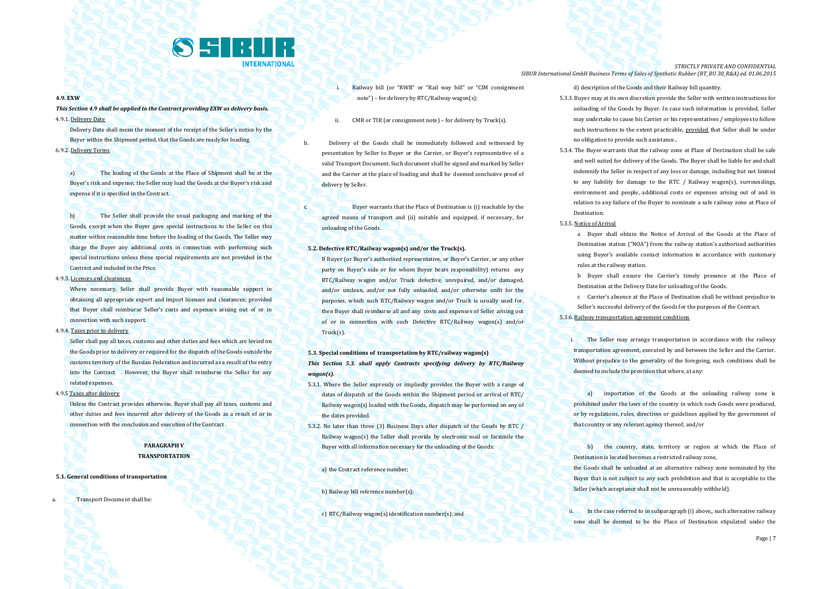

#### **4.9. EXW**

*This Section 4.9 shall be applied to the Contract providing EXW as delivery basis.* 4.9.1. Delivery Date

Delivery Date shall mean the moment of the receipt of the Seller's notice by the Buyer within the Shipment period, that the Goods are ready for loading. 6.9.2. Delivery Terms

a) The loading of the Goods at the Place of Shipment shall be at the Buyer's risk and expense; the Seller may load the Goods at the Buyer's risk and expense if it is specified in the Contract.

b) The Seller shall provide the usual packaging and marking of the Goods, except when the Buyer gave special instructions to the Seller on this matter within reasonable time before the loading of the Goods. The Seller may charge the Buyer any additional costs in connection with performing such special instructions unless these special requirements are not provided in the Contract and included in the Price.

# 4.9.3. Licences and clearances

Where necessary, Seller shall provide Buyer with reasonable support in obtaining all appropriate export and import licenses and clearances; provided that Buyer shall reimburse Seller's costs and expenses arising out of or in connection with such support.

4.9.4. Taxes prior to delivery

Seller shall pay all taxes, customs and other duties and fees which are levied on the Goods prior to delivery or required for the dispatch of the Goods outside the customs territory of the Russian Federation and incurred as a result of the entry into the Contract . However, the Buyer shall reimburse the Seller for any related expenses.

4.9.5 Taxes after delivery

Unless the Contract provides otherwise, Buyer shall pay all taxes, customs and other duties and fees incurred after delivery of the Goods as a result of or in connection with the conclusion and execution of the Contract .

# **PARAGRAPH V TRANSPORTATION**

#### **5.1. General conditions of transportation**

**Transport Document shall be:** 

- i. Railway bill (or "RWB" or "Rail way bill" or "CIM consignment note") – for delivery by RTC/Railway wagon(s);
- ii. CMR or TIR (or consignment note) for delivery by Truck(s).

b. Delivery of the Goods shall be immediately followed and witnessed by presentation by Seller to Buyer or the Carrier, or Buyer's representative of a valid Transport Document. Such document shall be signed and marked by Seller and the Carrier at the place of loading and shall be deemed conclusive proof of delivery by Seller.

c. Buyer warrants that the Place of Destination is (i) reachable by the agreed means of transport and (ii) suitable and equipped, if necessary, for unloading of the Goods.

### **5.2. Defective RTC/Railway wagon(s) and/or the Truck(s).**

If Buyer (or Buyer's authorised representative, or Buyer's Carrier, or any other party on Buyer's side or for whom Buyer bears responsibility) returns any RTC/Railway wagon and/or Truck defective, unrepaired, and/or damaged, and/or unclean, and/or not fully unloaded, and/or otherwise unfit for the purposes, which such RTC/Railway wagon and/or Truck is usually used for, then Buyer shall reimburse all and any costs and expenses of Seller arising out of or in connection with such Defective RTC/Railway wagon(s) and/or Truck(s).

# **5.3. Special conditions of transportation by RTC/railway wagon(s)** *This Section 5.3. shall apply Contracts specifying delivery by RTC/Railway wagon(s).*

- 5.3.1. Where the Seller expressly or impliedly provides the Buyer with a range of dates of dispatch of the Goods within the Shipment period or arrival of RTC/ Railway wagon(s) loaded with the Goods, dispatch may be performed on any of the dates provided.
- 5.3.2. No later than three (3) Business Days after dispatch of the Goods by RTC / Railway wagon(s) the Seller shall provide by electronic mail or facsimile the Buyer with all information necessary for the unloading of the Goods:

a) the Contract reference number;

#### b) Railway bill reference number(s);

c) RTC/Railway wagon(s) identification number(s); and

*STRICTLY PRIVATE AND CONFIDENTIAL SIBUR International GmbH Business Terms of Sales of Synthetic Rubber (BT\_BU 30\_R&A) ed. 01.06.2015*

d) description of the Goods and their Railway bill quantity.

- 5.3.3. Buyer may at its own discretion provide the Seller with written instructions for unloading of the Goods by Buyer. In case such information is provided, Seller may undertake to cause his Carrier or his representatives / employees to follow such instructions to the extent practicable, provided that Seller shall be under no obligation to provide such assistance..
- 5.3.4. The Buyer warrants that the railway zone at Place of Destination shall be safe and well suited for delivery of the Goods. The Buyer shall be liable for and shall indemnify the Seller in respect of any loss or damage, including but not limited to any liability for damage to the RTC / Railway wagon(s), surroundings, environment and people, additional costs or expenses arising out of and in relation to any failure of the Buyer to nominate a safe railway zone at Place of **Destination**

#### 5.3.5. Notice of Arrival

a Buyer shall obtain the Notice of Arrival of the Goods at the Place of Destination station ("NOA") from the railway station's authorised authorities using Buyer's available contact information in accordance with customary rules at the railway station.

b Buyer shall ensure the Carrier's timely presence at the Place of Destination at the Delivery Date for unloading of the Goods.

c Carrier's absence at the Place of Destination shall be without prejudice to Seller's successful delivery of the Goods for the purposes of the Contract. 5.3.6. Railway transportation agreement conditions

**i.** The Seller may arrange transportation in accordance with the railway transportation agreement, executed by and between the Seller and the Carrier. Without prejudice to the generality of the foregoing, such conditions shall be deemed to include the provision that where, at any:

a) importation of the Goods at the unloading railway zone is prohibited under the laws of the country in which such Goods were produced, or by regulations, rules, directives or guidelines applied by the government of that country or any relevant agency thereof; and/or

b) the country, state, territory or region at which the Place of Destination is located becomes a restricted railway zone,

the Goods shall be unloaded at an alternative railway zone nominated by the Buyer that is not subject to any such prohibition and that is acceptable to the Seller (which acceptance shall not be unreasonably withheld).

ii. In the case referred to in subparagraph (i) above,, such alternative railway zone shall be deemed to be the Place of Destination stipulated under the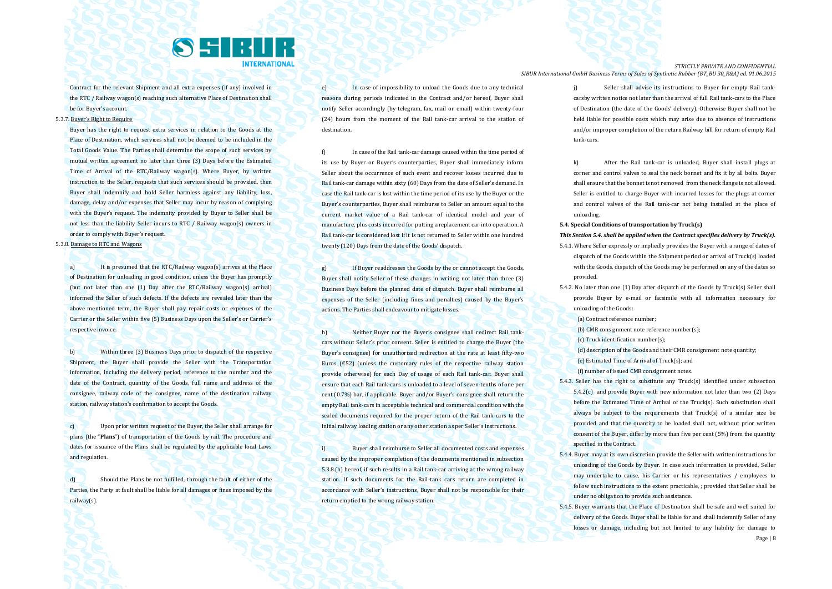

Contract for the relevant Shipment and all extra expenses (if any) involved in the RTC / Railway wagon(s) reaching such alternative Place of Destination shall be for Buyer's account.

5.3.7. Buyer's Right to Require

Buyer has the right to request extra services in relation to the Goods at the Place of Destination, which services shall not be deemed to be included in the Total Goods Value. The Parties shall determine the scope of such services by mutual written agreement no later than three (3) Days before the Estimated Time of Arrival of the RTC/Railway wagon(s). Where Buyer, by written instruction to the Seller, requests that such services should be provided, then Buyer shall indemnify and hold Seller harmless against any liability, loss, damage, delay and/or expenses that Seller may incur by reason of complying with the Buyer's request. The indemnity provided by Buyer to Seller shall be not less than the liability Seller incurs to RTC / Railway wagon(s) owners in order to comply with Buyer's request.

# 5.3.8. Damage to RTC and Wagons

a) It is presumed that the RTC/Railway wagon(s) arrives at the Place of Destination for unloading in good condition, unless the Buyer has promptly (but not later than one (1) Day after the RTC/Railway wagon(s) arrival) informed the Seller of such defects. If the defects are revealed later than the above mentioned term, the Buyer shall pay repair costs or expenses of the Carrier or the Seller within five (5) Business Days upon the Seller's or Carrier's respective invoice.

b) Within three (3) Business Days prior to dispatch of the respective Shipment, the Buyer shall provide the Seller with the Transportation information, including the delivery period, reference to the number and the date of the Contract, quantity of the Goods, full name and address of the consignee, railway code of the consignee, name of the destination railway station, railway station's confirmation to accept the Goods.

c) Upon prior written request of the Buyer, the Seller shall arrange for plans (the "**Plans**") of transportation of the Goods by rail. The procedure and dates for issuance of the Plans shall be regulated by the applicable local Laws and regulation.

d) Should the Plans be not fulfilled, through the fault of either of the Parties, the Party at fault shall be liable for all damages or fines imposed by the railway(s).

e) In case of impossibility to unload the Goods due to any technical reasons during periods indicated in the Contract and/or hereof. Buyer shall notify Seller accordingly (by telegram, fax, mail or email) within twenty-four (24) hours from the moment of the Rail tank-car arrival to the station of destination.

f) In case of the Rail tank-car damage caused within the time period of its use by Buyer or Buyer's counterparties, Buyer shall immediately inform Seller about the occurrence of such event and recover losses incurred due to Rail tank-car damage within sixty (60) Days from the date of Seller's demand. In case the Rail tank-car is lost within the time period of its use by the Buyer or the Buyer's counterparties, Buyer shall reimburse to Seller an amount equal to the current market value of a Rail tank-car of identical model and year of manufacture, plus costs incurred for putting a replacement car into operation. A Rail tank-car is considered lost if it is not returned to Seller within one hundred twenty (120) Days from the date of the Goods' dispatch.

g) If Buyer readdresses the Goods by the or cannot accept the Goods, Buyer shall notify Seller of these changes in writing not later than three (3) Business Days before the planned date of dispatch. Buyer shall reimburse all expenses of the Seller (including fines and penalties) caused by the Buyer's actions. The Parties shall endeavour to mitigate losses.

h) Neither Buyer nor the Buyer's consignee shall redirect Rail tankcars without Seller's prior consent. Seller is entitled to charge the Buyer (the Buyer's consignee) for unauthorized redirection at the rate at least fifty-two Euros  $f$  (£52) (unless the customary rules of the respective railway station provide otherwise) for each Day of usage of each Rail tank-car. Buyer shall ensure that each Rail tank-cars is unloaded to a level of seven-tenths of one per cent (0.7%) bar, if applicable. Buyer and/or Buyer's consignee shall return the empty Rail tank-cars in acceptable technical and commercial condition with the sealed documents required for the proper return of the Rail tank-cars to the initial railway loading station or any other station as per Seller's instructions.

i) Buyer shall reimburse to Seller all documented costs and expenses caused by the improper completion of the documents mentioned in subsection 5.3.8.(h) hereof, if such results in a Rail tank-car arriving at the wrong railway station. If such documents for the Rail-tank cars return are completed in accordance with Seller's instructions, Buyer shall not be responsible for their return emptied to the wrong railway station.

*STRICTLY PRIVATE AND CONFIDENTIAL SIBUR International GmbH Business Terms of Sales of Synthetic Rubber (BT\_BU 30\_R&A) ed. 01.06.2015*

> j) Seller shall advise its instructions to Buyer for empty Rail tankcarsby written notice not later than the arrival of full Rail tank-cars to the Place of Destination (the date of the Goods' delivery). Otherwise Buyer shall not be held liable for possible costs which may arise due to absence of instructions and/or improper completion of the return Railway bill for return of empty Rail tank-cars.

> k) After the Rail tank-car is unloaded, Buyer shall install plugs at corner and control valves to seal the neck bonnet and fix it by all bolts. Buyer shall ensure that the bonnet is not removed from the neck flange is not allowed. Seller is entitled to charge Buyer with incurred losses for the plugs at corner and control valves of the Rail tank-car not being installed at the place of unloading.

**5.4. Special Conditions of transportation by Truck(s)** 

*This Section 5.4. shall be applied when the Contract specifies delivery by Truck(s).*

- 5.4.1. Where Seller expressly or impliedly provides the Buyer with a range of dates of dispatch of the Goods within the Shipment period or arrival of Truck(s) loaded with the Goods, dispatch of the Goods may be performed on any of the dates so provided.
- 5.4.2. No later than one (1) Day after dispatch of the Goods by Truck(s) Seller shall provide Buyer by e-mail or facsimile with all information necessary for unloading of the Goods:

(a) Contract reference number;

- (b) CMR consignment note reference number(s);
- (c) Truck identification number(s);

(d) description of the Goods and their CMR consignment note quantity;

(e) Estimated Time of Arrival of Truck(s); and

(f) number of issued CMR consignment notes.

5.4.3. Seller has the right to substitute any Truck(s) identified under subsection 5.4.2(c) and provide Buyer with new information not later than two (2) Days before the Estimated Time of Arrival of the Truck(s). Such substitution shall always be subject to the requirements that Truck(s) of a similar size be provided and that the quantity to be loaded shall not, without prior written consent of the Buyer, differ by more than five per cent (5%) from the quantity specified in the Contract.

5.4.4. Buyer may at its own discretion provide the Seller with written instructions for unloading of the Goods by Buyer. In case such information is provided, Seller may undertake to cause, his Carrier or his representatives / employees to follow such instructions to the extent practicable, ; provided that Seller shall be under no obligation to provide such assistance.

Page | 8 5.4.5. Buyer warrants that the Place of Destination shall be safe and well suited for delivery of the Goods. Buyer shall be liable for and shall indemnify Seller of any losses or damage, including but not limited to any liability for damage to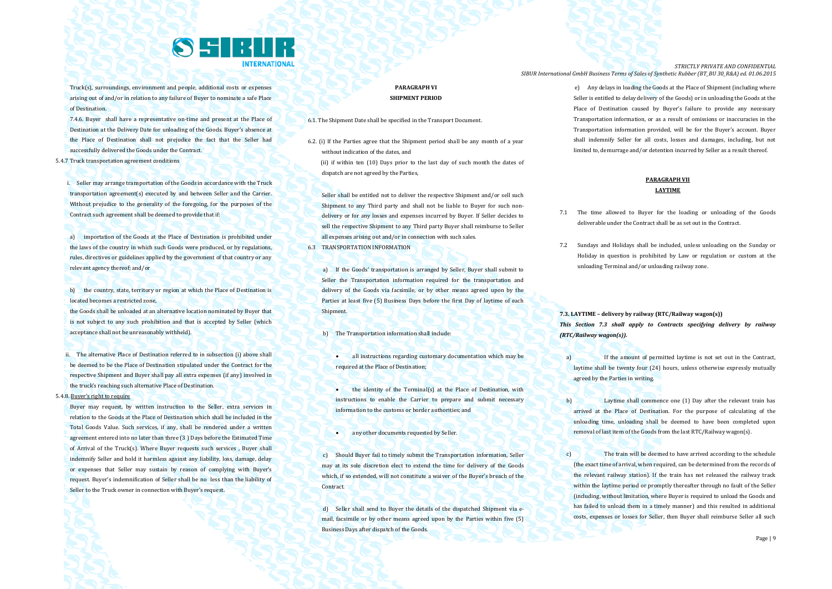

Truck(s), surroundings, environment and people, additional costs or expenses arising out of and/or in relation to any failure of Buyer to nominate a safe Place of Destination.

7.4.6. Buyer shall have a representative on-time and present at the Place of Destination at the Delivery Date for unloading of the Goods. Buyer's absence at the Place of Destination shall not prejudice the fact that the Seller had successfully delivered the Goods under the Contract.

5.4.7 Truck transportation agreement conditions

i. Seller may arrange transportation of the Goods in accordance with the Truck transportation agreement(s) executed by and between Seller and the Carrier. Without prejudice to the generality of the foregoing, for the purposes of the Contract such agreement shall be deemed to provide that if:

a) importation of the Goods at the Place of Destination is prohibited under the laws of the country in which such Goods were produced, or by regulations, rules, directives or guidelines applied by the government of that country or any relevant agency thereof; and/or

b) the country, state, territory or region at which the Place of Destination is located becomes a restricted zone,

the Goods shall be unloaded at an alternative location nominated by Buyer that is not subject to any such prohibition and that is accepted by Seller (which acceptance shall not be unreasonably withheld).

ii. The alternative Place of Destination referred to in subsection (i) above shall be deemed to be the Place of Destination stipulated under the Contract for the respective Shipment and Buyer shall pay all extra expenses (if any) involved in the truck's reaching such alternative Place of Destination.

5.4.8. Buyer's right to require

Buyer may request, by written instruction to the Seller, extra services in relation to the Goods at the Place of Destination which shall be included in the Total Goods Value. Such services, if any, shall be rendered under a written agreement entered into no later than three (3 ) Days before the Estimated Time of Arrival of the Truck(s). Where Buyer requests such services , Buyer shall indemnify Seller and hold it harmless against any liability, loss, damage, delay or expenses that Seller may sustain by reason of complying with Buyer's request. Buyer's indemnification of Seller shall be no less than the liability of Seller to the Truck owner in connection with Buyer's request.

# **PARAGRAPH VI SHIPMENT PERIOD**

6.1. The Shipment Date shall be specified in the Transport Document.

6.2. (i) If the Parties agree that the Shipment period shall be any month of a year without indication of the dates, and

 (ii) if within ten (10) Days prior to the last day of such month the dates of dispatch are not agreed by the Parties,

Seller shall be entitled not to deliver the respective Shipment and/or sell such Shipment to any Third party and shall not be liable to Buyer for such nondelivery or for any losses and expenses incurred by Buyer. If Seller decides to sell the respective Shipment to any Third party Buyer shall reimburse to Seller all expenses arising out and/or in connection with such sales.

6.3 TRANSPORTATION INFORMATION

a) If the Goods' transportation is arranged by Seller, Buyer shall submit to Seller the Transportation information required for the transportation and delivery of the Goods via facsimile, or by other means agreed upon by the Parties at least five (5) Business Days before the first Day of laytime of each Shipment.

b) The Transportation information shall include:

 all instructions regarding customary documentation which may be required at the Place of Destination;

- **the identity of the Terminal(s) at the Place of Destination, with** instructions to enable the Carrier to prepare and submit necessary information to the customs or border authorities; and
- **any other documents requested by Seller.**

c) Should Buyer fail to timely submit the Transportation information, Seller may at its sole discretion elect to extend the time for delivery of the Goods which, if so extended, will not constitute a waiver of the Buyer's breach of the Contract.

d) Seller shall send to Buyer the details of the dispatched Shipment via email, facsimile or by other means agreed upon by the Parties within five (5) Business Days after dispatch of the Goods.

*STRICTLY PRIVATE AND CONFIDENTIAL SIBUR International GmbH Business Terms of Sales of Synthetic Rubber (BT\_BU 30\_R&A) ed. 01.06.2015*

> e) Any delays in loading the Goods at the Place of Shipment (including where Seller is entitled to delay delivery of the Goods) or in unloading the Goods at the Place of Destination caused by Buyer's failure to provide any necessary Transportation information, or as a result of omissions or inaccuracies in the Transportation information provided, will be for the Buyer's account. Buyer shall indemnify Seller for all costs, losses and damages, including, but not limited to, demurrage and/or detention incurred by Seller as a result thereof.

# **PARAGRAPH VII LAYTIME**

- 7.1 The time allowed to Buyer for the loading or unloading of the Goods deliverable under the Contract shall be as set out in the Contract.
- 7.2 Sundays and Holidays shall be included, unless unloading on the Sunday or Holiday in question is prohibited by Law or regulation or custom at the unloading Terminal and/or unloading railway zone.

**7.3. LAYTIME – delivery by railway (RTC/Railway wagon(s))** *This Section 7.3 shall apply to Contracts specifying delivery by railway (RTC/Railway wagon(s)).*

- a) If the amount of permitted laytime is not set out in the Contract, laytime shall be twenty four (24) hours, unless otherwise expressly mutually agreed by the Parties in writing.
- b) Laytime shall commence one (1) Day after the relevant train has arrived at the Place of Destination. For the purpose of calculating of the unloading time, unloading shall be deemed to have been completed upon removal of last item of the Goods from the last RTC/Railway wagon(s).
- c) The train will be deemed to have arrived according to the schedule (the exact time of arrival, when required, can be determined from the records of the relevant railway station). If the train has not released the railway track within the laytime period or promptly thereafter through no fault of the Seller (including, without limitation, where Buyer is required to unload the Goods and has failed to unload them in a timely manner) and this resulted in additional costs, expenses or losses for Seller, then Buyer shall reimburse Seller all such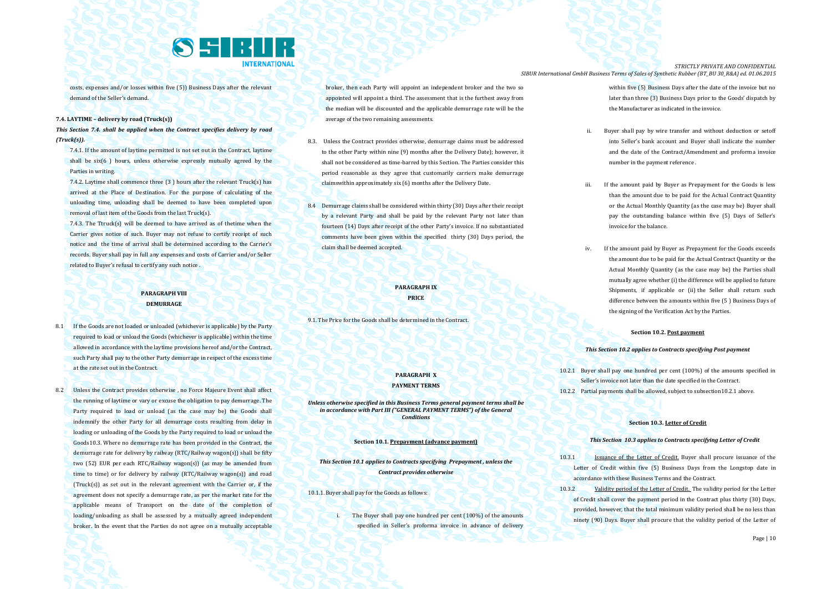

costs, expenses and/or losses within five (5)) Business Days after the relevant demand of the Seller's demand.

#### **7.4. LAYTIME – delivery by road (Truck(s))**

# *This Section 7.4. shall be applied when the Contract specifies delivery by road (Truck(s)).*

7.4.1. If the amount of laytime permitted is not set out in the Contract, laytime shall be six(6 ) hours, unless otherwise expressly mutually agreed by the Parties in writing.

7.4.2. Laytime shall commence three (3 ) hours after the relevant Truck(s) has arrived at the Place of Destination. For the purpose of calculating of the unloading time, unloading shall be deemed to have been completed upon removal of last item of the Goods from the last Truck(s).

7.4.3. The Ttruck(s) will be deemed to have arrived as of thetime when the Carrier gives notice of such. Buyer may not refuse to certify receipt of such notice and the time of arrival shall be determined according to the Carrier's records. Buyer shall pay in full any expenses and costs of Carrier and/or Seller related to Buyer's refusal to certify any such notice .

### **PARAGRAPH VIII DEMURRAGE**

- 8.1 If the Goods are not loaded or unloaded (whichever is applicable) by the Party required to load or unload the Goods (whichever is applicable) within the time allowed in accordance with the laytime provisions hereof and/or the Contract, such Party shall pay to the other Party demurrage in respect of the excess time at the rate set out in the Contract.
- 8.2 Unless the Contract provides otherwise , no Force Majeure Event shall affect the running of laytime or vary or excuse the obligation to pay demurrage. The Party required to load or unload (as the case may be) the Goods shall indemnify the other Party for all demurrage costs resulting from delay in loading or unloading of the Goods by the Party required to load or unload the Goods10.3. Where no demurrage rate has been provided in the Contract, the demurrage rate for delivery by railway (RTC/Railway wagon(s)) shall be fifty two (52) EUR per each RTC/Railway wagon(s)) (as may be amended from time to time) or for delivery by railway (RTC/Railway wagon(s)) and road (Truck(s)) as set out in the relevant agreement with the Carrier or, if the agreement does not specify a demurrage rate, as per the market rate for the applicable means of Transport on the date of the completion of loading/unloading as shall be assessed by a mutually agreed independent broker. In the event that the Parties do not agree on a mutually acceptable

broker, then each Party will appoint an independent broker and the two so appointed will appoint a third. The assessment that is the furthest away from the median will be discounted and the applicable demurrage rate will be the average of the two remaining assessments.

- 8.3. Unless the Contract provides otherwise, demurrage claims must be addressed to the other Party within nine (9) months after the Delivery Date); however, it shall not be considered as time-barred by this Section. The Parties consider this period reasonable as they agree that customarily carriers make demurrage claimswithin approximately six (6) months after the Delivery Date.
- 8.4 Demurrage claims shall be considered within thirty (30) Days after their receipt by a relevant Party and shall be paid by the relevant Party not later than fourteen (14) Days after receipt of the other Party's invoice. If no substantiated comments have been given within the specified thirty (30) Days period, the claim shall be deemed accepted.

# **PARAGRAPH IX PRICE**

9.1. The Price for the Goods shall be determined in the Contract.

### **PARAGRAPH X PAYMENT TERMS**

*Unless otherwise specified in this Business Terms general payment terms shall be in accordance with Part III ("GENERAL PAYMENT TERMS") of the General Conditions*

#### **Section 10.1. Prepayment (advance payment)**

*This Section 10.1 applies to Contracts specifying Prepayment , unless the Contract provides otherwise*

10.1.1. Buyer shall pay for the Goods as follows:

i. The Buyer shall pay one hundred per cent (100%) of the amounts specified in Seller's proforma invoice in advance of delivery

*STRICTLY PRIVATE AND CONFIDENTIAL SIBUR International GmbH Business Terms of Sales of Synthetic Rubber (BT\_BU 30\_R&A) ed. 01.06.2015*

> within five (5) Business Days after the date of the invoice but no later than three (3) Business Days prior to the Goods' dispatch by the Manufacturer as indicated in the invoice.

- Buyer shall pay by wire transfer and without deduction or setoff into Seller's bank account and Buyer shall indicate the number and the date of the Contract/Amendment and proforma invoice number in the payment reference .
- iii. If the amount paid by Buyer as Prepayment for the Goods is less than the amount due to be paid for the Actual Contract Quantity or the Actual Monthly Quantity (as the case may be) Buyer shall pay the outstanding balance within five (5) Days of Seller's invoice for the balance.
- iv. If the amount paid by Buyer as Prepayment for the Goods exceeds the amount due to be paid for the Actual Contract Quantity or the Actual Monthly Quantity (as the case may be) the Parties shall mutually agree whether (i) the difference will be applied to future Shipments, if applicable or (ii) the Seller shall return such difference between the amounts within five (5 ) Business Days of the signing of the Verification Act by the Parties.

#### **Section 10.2. Post payment**

#### *This Section 10.2 applies to Contracts specifying Post payment*

- 10.2.1 Buyer shall pay one hundred per cent (100%) of the amounts specified in Seller's invoice not later than the date specified in the Contract.
- 10.2.2 Partial payments shall be allowed, subject to subsection10.2.1 above.

#### **Section 10.3. Letter of Credit**

#### *This Section 10.3 applies to Contracts specifying Letter of Credit*

- 10.3.1 Issuance of the Letter of Credit. Buyer shall procure issuance of the Letter of Credit within five (5) Business Days from the Longstop date in accordance with these Business Terms and the Contract.
- 10.3.2 Validity period of the Letter of Credit. The validity period for the Letter of Credit shall cover the payment period in the Contract plus thirty (30) Days, provided, however, that the total minimum validity period shall be no less than ninety (90) Days. Buyer shall procure that the validity period of the Letter of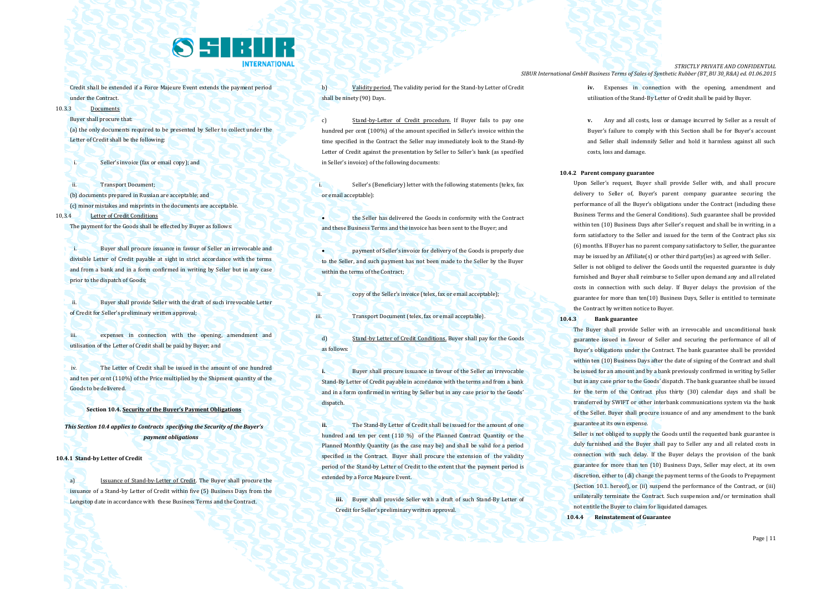

Credit shall be extended if a Force Majeure Event extends the payment period under the Contract.

10.3.3 Documents

Buyer shall procure that:

(a) the only documents required to be presented by Seller to collect under the Letter of Credit shall be the following:

Seller's invoice (fax or email copy); and

ii. Transport Document; (b) documents prepared in Russian are acceptable; and (c) minor mistakes and misprints in the documents are acceptable. 10,3.4 Letter of Credit Conditions

The payment for the Goods shall be effected by Buyer as follows:

Buyer shall procure issuance in favour of Seller an irrevocable and divisible Letter of Credit payable at sight in strict accordance with the terms and from a bank and in a form confirmed in writing by Seller but in any case prior to the dispatch of Goods;

ii. Buyer shall provide Seller with the draft of such irrevocable Letter of Credit for Seller's preliminary written approval;

iii. expenses in connection with the opening, amendment and utilisation of the Letter of Credit shall be paid by Buyer; and

iv. The Letter of Credit shall be issued in the amount of one hundred and ten per cent (110%) of the Price multiplied by the Shipment quantity of the Goods to be delivered.

**Section 10.4. Security of the Buyer's Payment Obligations**

*This Section 10.4 applies to Contracts specifying the Security of the Buyer's payment obligations*

**10.4.1 Stand-by Letter of Credit**

a) Issuance of Stand-by-Letter of Credit. The Buyer shall procure the issuance of a Stand-by Letter of Credit within five (5) Business Days from the Longstop date in accordance with these Business Terms and the Contract.

b) Validity period. The validity period for the Stand-by Letter of Credit shall be ninety (90) Days.

c) Stand-by-Letter of Credit procedure. If Buyer fails to pay one hundred per cent (100%) of the amount specified in Seller's invoice within the time specified in the Contract the Seller may immediately look to the Stand-By Letter of Credit against the presentation by Seller to Seller's bank (as specified in Seller's invoice) of the following documents:

Seller's (Beneficiary) letter with the following statements (telex, fax or email acceptable):

 the Seller has delivered the Goods in conformity with the Contract and these Business Terms and the invoice has been sent to the Buyer; and

 payment of Seller's invoice for delivery of the Goods is properly due to the Seller, and such payment has not been made to the Seller by the Buyer within the terms of the Contract;

ii. copy of the Seller's invoice (telex, fax or email acceptable);

iii. Transport Document (telex, fax or email acceptable).

d) Stand-by Letter of Credit Conditions. Buyer shall pay for the Goods as follows:

**i.** Buyer shall procure issuance in favour of the Seller an irrevocable Stand-By Letter of Credit payable in accordance with the terms and from a bank and in a form confirmed in writing by Seller but in any case prior to the Goods' dispatch.

**ii.** The Stand-By Letter of Credit shall be issued for the amount of one hundred and ten per cent (110 %) of the Planned Contract Quantity or the Planned Monthly Quantity (as the case may be) and shall be valid for a period specified in the Contract. Buyer shall procure the extension of the validity period of the Stand-by Letter of Credit to the extent that the payment period is extended by a Force Majeure Event.

**iii.** Buyer shall provide Seller with a draft of such Stand-By Letter of Credit for Seller's preliminary written approval.

*STRICTLY PRIVATE AND CONFIDENTIAL SIBUR International GmbH Business Terms of Sales of Synthetic Rubber (BT\_BU 30\_R&A) ed. 01.06.2015*

> **iv.** Expenses in connection with the opening, amendment and utilisation of the Stand-By Letter of Credit shall be paid by Buyer.

> **v.** Any and all costs, loss or damage incurred by Seller as a result of Buyer's failure to comply with this Section shall be for Buyer's account and Seller shall indemnify Seller and hold it harmless against all such costs, loss and damage.

#### **10.4.2 Parent company guarantee**

Upon Seller's request, Buyer shall provide Seller with, and shall procure delivery to Seller of, Buyer's parent company guarantee securing the performance of all the Buyer's obligations under the Contract (including these Business Terms and the General Conditions). Such guarantee shall be provided within ten (10) Business Days after Seller's request and shall be in writing, in a form satisfactory to the Seller and issued for the term of the Contract plus six (6) months. If Buyer has no parent company satisfactory to Seller, the guarantee may be issued by an Affiliate(s) or other third party(ies) as agreed with Seller. Seller is not obliged to deliver the Goods until the requested guarantee is duly furnished and Buyer shall reimburse to Seller upon demand any and all related costs in connection with such delay. If Buyer delays the provision of the guarantee for more than ten(10) Business Days, Seller is entitled to terminate the Contract by written notice to Buyer.

**10.4.3 Bank guarantee**

The Buyer shall provide Seller with an irrevocable and unconditional bank guarantee issued in favour of Seller and securing the performance of all of Buyer's obligations under the Contract. The bank guarantee shall be provided within ten (10) Business Days after the date of signing of the Contract and shall be issued for an amount and by a bank previously confirmed in writing by Seller but in any case prior to the Goods' dispatch. The bank guarantee shall be issued for the term of the Contract plus thirty (30) calendar days and shall be transferred by SWIFT or other interbank communications system via the bank of the Seller. Buyer shall procure issuance of and any amendment to the bank guarantee at its own expense.

Seller is not obliged to supply the Goods until the requested bank guarantee is duly furnished and the Buyer shall pay to Seller any and all related costs in connection with such delay. If the Buyer delays the provision of the bank guarantee for more than ten (10) Business Days, Seller may elect, at its own discretion, either to (di) change the payment terms of the Goods to Prepayment (Section 10.1. hereof), or (ii) suspend the performance of the Contract, or (iii) unilaterally terminate the Contract. Such suspension and/or termination shall not entitle the Buyer to claim for liquidated damages.

**10.4.4 Reinstatement of Guarantee**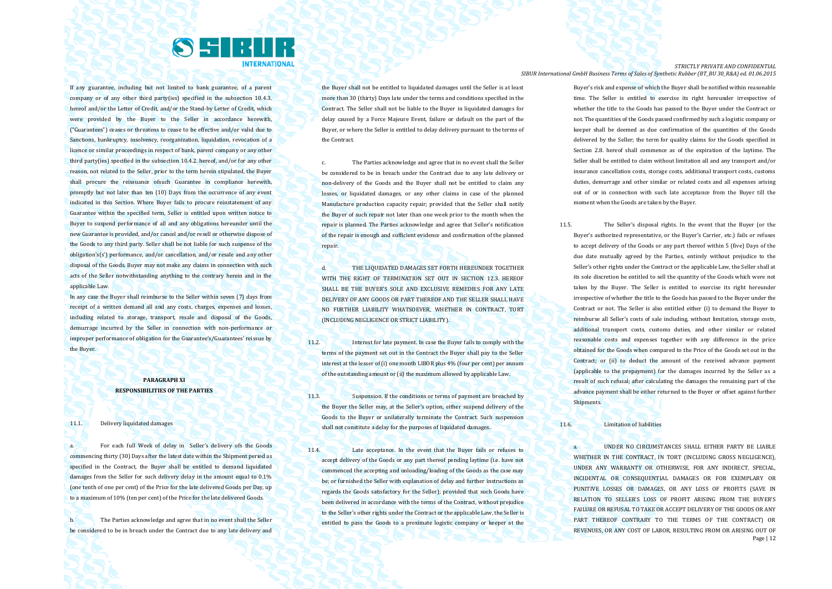

If any guarantee, including but not limited to bank guarantee, of a parent company or of any other third party(ies) specified in the subsection 10.4.3. hereof and/or the Letter of Credit, and/or the Stand-by Letter of Credit, which were provided by the Buyer to the Seller in accordance herewith, ("Guarantees") ceases or threatens to cease to be effective and/or valid due to Sanctions, bankruptcy, insolvency, reorganization, liquidation, revocation of a licence or similar proceedings in respect of bank, parent company or any other third party(ies) specified in the subsection 10.4.2. hereof, and/or for any other reason, not related to the Seller, prior to the term herein stipulated, the Buyer shall procure the reissuance ofsuch Guarantee in compliance herewith, promptly but not later than ten (10) Days from the occurrence of any event indicated in this Section. Where Buyer fails to procure reinstatement of any Guarantee within the specified term, Seller is entitled upon written notice to Buyer to suspend performance of all and any obligations hereunder until the new Guarantee is provided, and/or cancel and/or resell or otherwise dispose of the Goods to any third party. Seller shall be not liable for such suspense of the obligation's(s') performance, and/or cancellation, and/or resale and any other disposal of the Goods. Buyer may not make any claims in connection with such acts of the Seller notwithstanding anything to the contrary herein and in the applicable Law.

In any case the Buyer shall reimburse to the Seller within seven (7) days from receipt of a written demand all and any costs, charges, expenses and losses, including related to storage, transport, resale and disposal of the Goods, demurrage incurred by the Seller in connection with non-performance or improper performance of obligation for the Guarantee's/Guarantees' reissue by the Buyer.

# **PARAGRAPH XI RESPONSIBILITIES OF THE PARTIES**

#### 11.1. Delivery liquidated damages

a. For each full Week of delay in Seller's delivery ofs the Goods commencing thirty (30) Days after the latest date within the Shipment period as specified in the Contract, the Buyer shall be entitled to demand liquidated damages from the Seller for such delivery delay in the amount equal to 0.1% (one tenth of one per cent) of the Price for the late delivered Goods per Day, up to a maximum of 10% (ten per cent) of the Price for the late delivered Goods.

b. The Parties acknowledge and agree that in no event shall the Seller be considered to be in breach under the Contract due to any late delivery and the Buyer shall not be entitled to liquidated damages until the Seller is at least more than 30 (thirty) Days late under the terms and conditions specified in the Contract. The Seller shall not be liable to the Buyer in liquidated damages for delay caused by a Force Majeure Event, failure or default on the part of the Buyer, or where the Seller is entitled to delay delivery pursuant to the terms of the Contract.

c. The Parties acknowledge and agree that in no event shall the Seller be considered to be in breach under the Contract due to any late delivery or non-delivery of the Goods and the Buyer shall not be entitled to claim any losses, or liquidated damages, or any other claims in case of the planned Manufacture production capacity repair; provided that the Seller shall notify the Buyer of such repair not later than one week prior to the month when the repair is planned. The Parties acknowledge and agree that Seller's notification of the repair is enough and sufficient evidence and confirmation of the planned repair.

d. THE LIQUIDATED DAMAGES SET FORTH HEREUNDER TOGETHER WITH THE RIGHT OF TERMINATION SET OUT IN SECTION 12.3. HEREOF SHALL BE THE BUYER'S SOLE AND EXCLUSIVE REMEDIES FOR ANY LATE DELIVERY OF ANY GOODS OR PART THEREOF AND THE SELLER SHALL HAVE NO FURTHER LIABILITY WHATSOEVER, WHETHER IN CONTRACT, TORT (INCLUDING NEGLIGENCE OR STRICT LIABILITY).

11.2. Interest for late payment. In case the Buyer fails to comply with the terms of the payment set out in the Contract the Buyer shall pay to the Seller interest at the lesser of (i) one month LIBOR plus 4% (four per cent) per annum of the outstanding amount or (ii) the maximum allowed by applicable Law.

11.3. Suspension. If the conditions or terms of payment are breached by the Buyer the Seller may, at the Seller's option, either suspend delivery of the Goods to the Buyer or unilaterally terminate the Contract. Such suspension shall not constitute a delay for the purposes of liquidated damages.

11.4. Late acceptance. In the event that the Buyer fails or refuses to accept delivery of the Goods or any part thereof pending laytime (i.e. have not commenced the accepting and unloading/loading of the Goods as the case may be; or furnished the Seller with explanation of delay and further instructions as regards the Goods satisfactory for the Seller); provided that such Goods have been delivered in accordance with the terms of the Contract, without prejudice to the Seller's other rights under the Contract or the applicable Law, the Seller is entitled to pass the Goods to a proximate logistic company or keeper at the

*STRICTLY PRIVATE AND CONFIDENTIAL SIBUR International GmbH Business Terms of Sales of Synthetic Rubber (BT\_BU 30\_R&A) ed. 01.06.2015*

> Buyer's risk and expense of which the Buyer shall be notified within reasonable time. The Seller is entitled to exercise its right hereunder irrespective of whether the title to the Goods has passed to the Buyer under the Contract or not. The quantities of the Goods passed confirmed by such a logistic company or keeper shall be deemed as due confirmation of the quantities of the Goods delivered by the Seller; the term for quality claims for the Goods specified in Section 2.8. hereof shall commence as of the expiration of the laytime. The Seller shall be entitled to claim without limitation all and any transport and/or insurance cancellation costs, storage costs, additional transport costs, customs duties, demurrage and other similar or related costs and all expenses arising out of or in connection with such late acceptance from the Buyer till the moment when the Goods are taken by the Buyer.

11.5. The Seller's disposal rights. In the event that the Buyer (or the Buyer's authorized representative, or the Buyer's Carrier, etc.) fails or refuses to accept delivery of the Goods or any part thereof within 5 (five) Days of the due date mutually agreed by the Parties, entirely without prejudice to the Seller's other rights under the Contract or the applicable Law, the Seller shall at its sole discretion be entitled to sell the quantity of the Goods which were not taken by the Buyer. The Seller is entitled to exercise its right hereunder irrespective of whether the title to the Goods has passed to the Buyer under the Contract or not. The Seller is also entitled either (i) to demand the Buyer to reimburse all Seller's costs of sale including, without limitation, storage costs, additional transport costs, customs duties, and other similar or related reasonable costs and expenses together with any difference in the price obtained for the Goods when compared to the Price of the Goods set out in the Contract; or (ii) to deduct the amount of the received advance payment (applicable to the prepayment) for the damages incurred by the Seller as a result of such refusal; after calculating the damages the remaining part of the advance payment shall be either returned to the Buyer or offset against further Shipments.

## 11.6. **Limitation of liabilities**

Page | 12 a. UNDER NO CIRCUMSTANCES SHALL EITHER PARTY BE LIABLE WHETHER IN THE CONTRACT. IN TORT (INCLUDING GROSS NEGLIGENCE), UNDER ANY WARRANTY OR OTHERWISE, FOR ANY INDIRECT, SPECIAL, INCIDENTAL OR CONSEQUENTIAL DAMAGES OR FOR EXEMPLARY OR PUNITIVE LOSSES OR DAMAGES, OR ANY LOSS OF PROFITS (SAVE IN RELATION TO SELLER'S LOSS OF PROFIT ARISING FROM THE BUYER'S FAILURE OR REFUSAL TO TAKE OR ACCEPT DELIVERY OF THE GOODS OR ANY PART THEREOF CONTRARY TO THE TERMS OF THE CONTRACT) OR REVENUES, OR ANY COST OF LABOR, RESULTING FROM OR ARISING OUT OF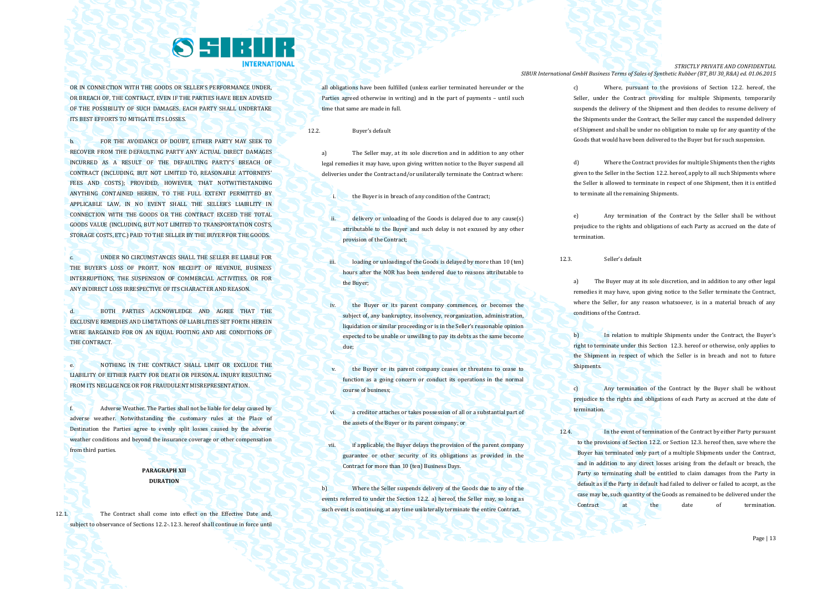

OR IN CONNECTION WITH THE GOODS OR SELLER'S PERFORMANCE UNDER, OR BREACH OF, THE CONTRACT, EVEN IF THE PARTIES HAVE BEEN ADVISED OF THE POSSIBILITY OF SUCH DAMAGES. EACH PARTY SHALL UNDERTAKE ITS BEST EFFORTS TO MITIGATE ITS LOSSES.

b. FOR THE AVOIDANCE OF DOUBT, EITHER PARTY MAY SEEK TO RECOVER FROM THE DEFAULTING PARTY ANY ACTUAL DIRECT DAMAGES INCURRED AS A RESULT OF THE DEFAULTING PARTY'S BREACH OF CONTRACT (INCLUDING, BUT NOT LIMITED TO, REASONABLE ATTORNEYS' FEES AND COSTS): PROVIDED, HOWEVER, THAT NOTWITHSTANDING ANYTHING CONTAINED HEREIN, TO THE FULL EXTENT PERMITTED BY APPLICABLE LAW, IN NO EVENT SHALL THE SELLER'S LIABILITY IN CONNECTION WITH THE GOODS OR THE CONTRACT EXCEED THE TOTAL GOODS VALUE (INCLUDING, BUT NOT LIMITED TO TRANSPORTATION COSTS, STORAGE COSTS, ETC.) PAID TO THE SELLER BY THE BUYER FOR THE GOODS.

c. UNDER NO CIRCUMSTANCES SHALL THE SELLER BE LIABLE FOR THE BUYER'S LOSS OF PROFIT, NON RECEIPT OF REVENUE, BUSINESS INTERRUPTIONS, THE SUSPENSION OF COMMERCIAL ACTIVITIES, OR FOR ANY INDIRECT LOSS IRRESPECTIVE OF ITS CHARACTER AND REASON.

d. BOTH PARTIES ACKNOWLEDGE AND AGREE THAT THE EXCLUSIVE REMEDIES AND LIMITATIONS OF LIABILITIES SET FORTH HEREIN WERE BARGAINED FOR ON AN EQUAL FOOTING AND ARE CONDITIONS OF THE CONTRACT

e. NOTHING IN THE CONTRACT SHALL LIMIT OR EXCLUDE THE LIABILITY OF EITHER PARTY FOR DEATH OR PERSONAL INJURY RESULTING FROM ITS NEGLIGENCE OR FOR FRAUDULENT MISREPRESENTATION.

f. Adverse Weather. The Parties shall not be liable for delay caused by adverse weather. Notwithstanding the customary rules at the Place of Destination the Parties agree to evenly split losses caused by the adverse weather conditions and beyond the insurance coverage or other compensation from third parties.

# **PARAGRAPH XII DURATION**

12.1. The Contract shall come into effect on the Effective Date and, subject to observance of Sections 12.2-.12.3. hereof shall continue in force until all obligations have been fulfilled (unless earlier terminated hereunder or the Parties agreed otherwise in writing) and in the part of payments – until such time that same are made in full.

12.2. Buyer's default

a) The Seller may, at its sole discretion and in addition to any other legal remedies it may have, upon giving written notice to the Buyer suspend all deliveries under the Contract and/or unilaterally terminate the Contract where:

the Buyer is in breach of any condition of the Contract:

- ii. delivery or unloading of the Goods is delayed due to any cause(s) attributable to the Buyer and such delay is not excused by any other provision of the Contract;
- iii. loading or unloading of the Goods is delayed by more than 10 (ten) hours after the NOR has been tendered due to reasons attributable to the Buyer;
- iv. the Buyer or its parent company commences, or becomes the subject of, any bankruptcy, insolvency, reorganization, administration, liquidation or similar proceeding or is in the Seller's reasonable opinion expected to be unable or unwilling to pay its debts as the same become due;
- the Buyer or its parent company ceases or threatens to cease to function as a going concern or conduct its operations in the normal course of business;
- vi. a creditor attaches or takes possession of all or a substantial part of the assets of the Buyer or its parent company; or
- vii. if applicable, the Buyer delays the provision of the parent company guarantee or other security of its obligations as provided in the Contract for more than 10 (ten) Business Days.

b) Where the Seller suspends delivery of the Goods due to any of the events referred to under the Section 12.2. a) hereof, the Seller may, so long as such event is continuing, at any time unilaterally terminate the entire Contract.

*STRICTLY PRIVATE AND CONFIDENTIAL SIBUR International GmbH Business Terms of Sales of Synthetic Rubber (BT\_BU 30\_R&A) ed. 01.06.2015*

> c) Where, pursuant to the provisions of Section 12.2. hereof, the Seller, under the Contract providing for multiple Shipments, temporarily suspends the delivery of the Shipment and then decides to resume delivery of the Shipments under the Contract, the Seller may cancel the suspended delivery of Shipment and shall be under no obligation to make up for any quantity of the Goods that would have been delivered to the Buyer but for such suspension.

> d) Where the Contract provides for multiple Shipments then the rights given to the Seller in the Section 12.2. hereof, apply to all such Shipments where the Seller is allowed to terminate in respect of one Shipment, then it is entitled to terminate all the remaining Shipments.

> e) Any termination of the Contract by the Seller shall be without prejudice to the rights and obligations of each Party as accrued on the date of termination.

12.3. Seller's default

a) The Buyer may at its sole discretion, and in addition to any other legal remedies it may have, upon giving notice to the Seller terminate the Contract, where the Seller, for any reason whatsoever, is in a material breach of any conditions of the Contract.

b) In relation to multiple Shipments under the Contract, the Buyer's right to terminate under this Section 12.3. hereof or otherwise, only applies to the Shipment in respect of which the Seller is in breach and not to future Shipments.

Any termination of the Contract by the Buyer shall be without prejudice to the rights and obligations of each Party as accrued at the date of termination.

12.4. In the event of termination of the Contract by either Party pursuant to the provisions of Section 12.2. or Section 12.3. hereof then, save where the Buyer has terminated only part of a multiple Shipments under the Contract, and in addition to any direct losses arising from the default or breach, the Party so terminating shall be entitled to claim damages from the Party in default as if the Party in default had failed to deliver or failed to accept, as the case may be, such quantity of the Goods as remained to be delivered under the Contract at the date of termination.